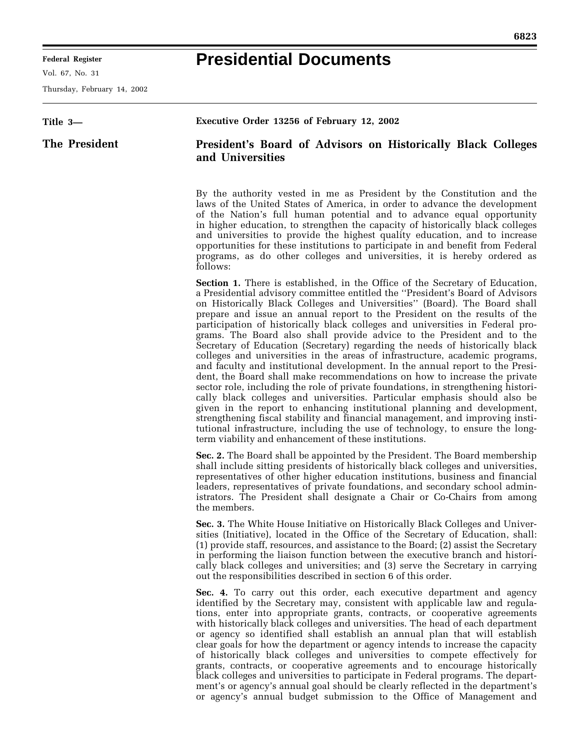۰

## **Presidential Documents**

۳

Thursday, February 14, 2002

| Title 3-      | Executive Order 13256 of February 12, 2002                                                                                                                                                                                                                                                                                                                                                                                                                                                                                                                                                                                                                                                                                                                                                                                                                                                                                                                                                                                                                                                                                                                                                                                                                                                        |
|---------------|---------------------------------------------------------------------------------------------------------------------------------------------------------------------------------------------------------------------------------------------------------------------------------------------------------------------------------------------------------------------------------------------------------------------------------------------------------------------------------------------------------------------------------------------------------------------------------------------------------------------------------------------------------------------------------------------------------------------------------------------------------------------------------------------------------------------------------------------------------------------------------------------------------------------------------------------------------------------------------------------------------------------------------------------------------------------------------------------------------------------------------------------------------------------------------------------------------------------------------------------------------------------------------------------------|
| The President | President's Board of Advisors on Historically Black Colleges<br>and Universities                                                                                                                                                                                                                                                                                                                                                                                                                                                                                                                                                                                                                                                                                                                                                                                                                                                                                                                                                                                                                                                                                                                                                                                                                  |
|               | By the authority vested in me as President by the Constitution and the<br>laws of the United States of America, in order to advance the development<br>of the Nation's full human potential and to advance equal opportunity<br>in higher education, to strengthen the capacity of historically black colleges<br>and universities to provide the highest quality education, and to increase<br>opportunities for these institutions to participate in and benefit from Federal<br>programs, as do other colleges and universities, it is hereby ordered as<br>follows:                                                                                                                                                                                                                                                                                                                                                                                                                                                                                                                                                                                                                                                                                                                           |
|               | <b>Section 1.</b> There is established, in the Office of the Secretary of Education,<br>a Presidential advisory committee entitled the "President's Board of Advisors<br>on Historically Black Colleges and Universities" (Board). The Board shall<br>prepare and issue an annual report to the President on the results of the<br>participation of historically black colleges and universities in Federal pro-<br>grams. The Board also shall provide advice to the President and to the<br>Secretary of Education (Secretary) regarding the needs of historically black<br>colleges and universities in the areas of infrastructure, academic programs,<br>and faculty and institutional development. In the annual report to the Presi-<br>dent, the Board shall make recommendations on how to increase the private<br>sector role, including the role of private foundations, in strengthening histori-<br>cally black colleges and universities. Particular emphasis should also be<br>given in the report to enhancing institutional planning and development,<br>strengthening fiscal stability and financial management, and improving insti-<br>tutional infrastructure, including the use of technology, to ensure the long-<br>term viability and enhancement of these institutions. |
|               | Sec. 2. The Board shall be appointed by the President. The Board membership<br>shall include sitting presidents of historically black colleges and universities,<br>representatives of other higher education institutions, business and financial<br>leaders, representatives of private foundations, and secondary school admin-<br>istrators. The President shall designate a Chair or Co-Chairs from among<br>the members.                                                                                                                                                                                                                                                                                                                                                                                                                                                                                                                                                                                                                                                                                                                                                                                                                                                                    |
|               | Sec. 3. The White House Initiative on Historically Black Colleges and Univer-<br>sities (Initiative), located in the Office of the Secretary of Education, shall:<br>(1) provide staff, resources, and assistance to the Board; (2) assist the Secretary<br>in performing the liaison function between the executive branch and histori-<br>cally black colleges and universities; and (3) serve the Secretary in carrying<br>out the responsibilities described in section 6 of this order.                                                                                                                                                                                                                                                                                                                                                                                                                                                                                                                                                                                                                                                                                                                                                                                                      |
|               | <b>Sec. 4.</b> To carry out this order, each executive department and agency<br>identified by the Secretary may, consistent with applicable law and regula-<br>tions, enter into appropriate grants, contracts, or cooperative agreements<br>with historically black colleges and universities. The head of each department<br>or agency so identified shall establish an annual plan that will establish<br>clear goals for how the department or agency intends to increase the capacity<br>of historically black colleges and universities to compete effectively for<br>grants, contracts, or cooperative agreements and to encourage historically<br>black colleges and universities to participate in Federal programs. The depart-<br>ment's or agency's annual goal should be clearly reflected in the department's<br>or agency's annual budget submission to the Office of Management and                                                                                                                                                                                                                                                                                                                                                                                               |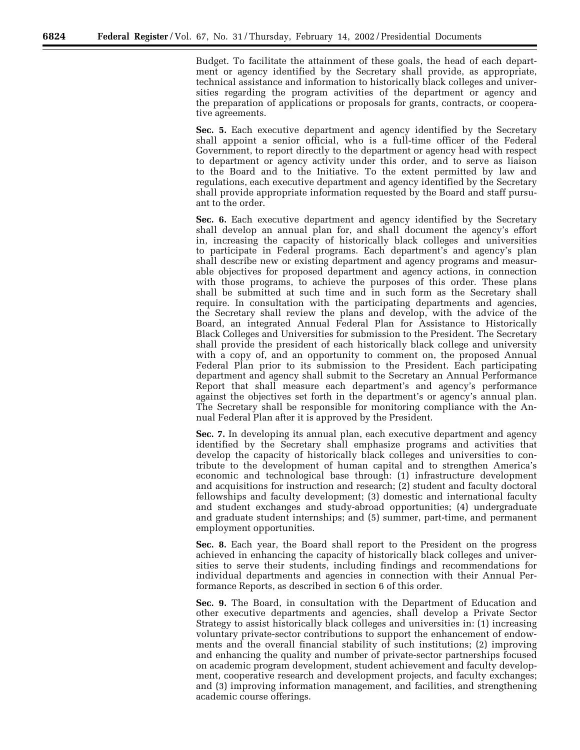Budget. To facilitate the attainment of these goals, the head of each department or agency identified by the Secretary shall provide, as appropriate, technical assistance and information to historically black colleges and universities regarding the program activities of the department or agency and the preparation of applications or proposals for grants, contracts, or cooperative agreements.

**Sec. 5.** Each executive department and agency identified by the Secretary shall appoint a senior official, who is a full-time officer of the Federal Government, to report directly to the department or agency head with respect to department or agency activity under this order, and to serve as liaison to the Board and to the Initiative. To the extent permitted by law and regulations, each executive department and agency identified by the Secretary shall provide appropriate information requested by the Board and staff pursuant to the order.

**Sec. 6.** Each executive department and agency identified by the Secretary shall develop an annual plan for, and shall document the agency's effort in, increasing the capacity of historically black colleges and universities to participate in Federal programs. Each department's and agency's plan shall describe new or existing department and agency programs and measurable objectives for proposed department and agency actions, in connection with those programs, to achieve the purposes of this order. These plans shall be submitted at such time and in such form as the Secretary shall require. In consultation with the participating departments and agencies, the Secretary shall review the plans and develop, with the advice of the Board, an integrated Annual Federal Plan for Assistance to Historically Black Colleges and Universities for submission to the President. The Secretary shall provide the president of each historically black college and university with a copy of, and an opportunity to comment on, the proposed Annual Federal Plan prior to its submission to the President. Each participating department and agency shall submit to the Secretary an Annual Performance Report that shall measure each department's and agency's performance against the objectives set forth in the department's or agency's annual plan. The Secretary shall be responsible for monitoring compliance with the Annual Federal Plan after it is approved by the President.

**Sec. 7.** In developing its annual plan, each executive department and agency identified by the Secretary shall emphasize programs and activities that develop the capacity of historically black colleges and universities to contribute to the development of human capital and to strengthen America's economic and technological base through: (1) infrastructure development and acquisitions for instruction and research; (2) student and faculty doctoral fellowships and faculty development; (3) domestic and international faculty and student exchanges and study-abroad opportunities; (4) undergraduate and graduate student internships; and (5) summer, part-time, and permanent employment opportunities.

**Sec. 8.** Each year, the Board shall report to the President on the progress achieved in enhancing the capacity of historically black colleges and universities to serve their students, including findings and recommendations for individual departments and agencies in connection with their Annual Performance Reports, as described in section 6 of this order.

**Sec. 9.** The Board, in consultation with the Department of Education and other executive departments and agencies, shall develop a Private Sector Strategy to assist historically black colleges and universities in: (1) increasing voluntary private-sector contributions to support the enhancement of endowments and the overall financial stability of such institutions; (2) improving and enhancing the quality and number of private-sector partnerships focused on academic program development, student achievement and faculty development, cooperative research and development projects, and faculty exchanges; and (3) improving information management, and facilities, and strengthening academic course offerings.